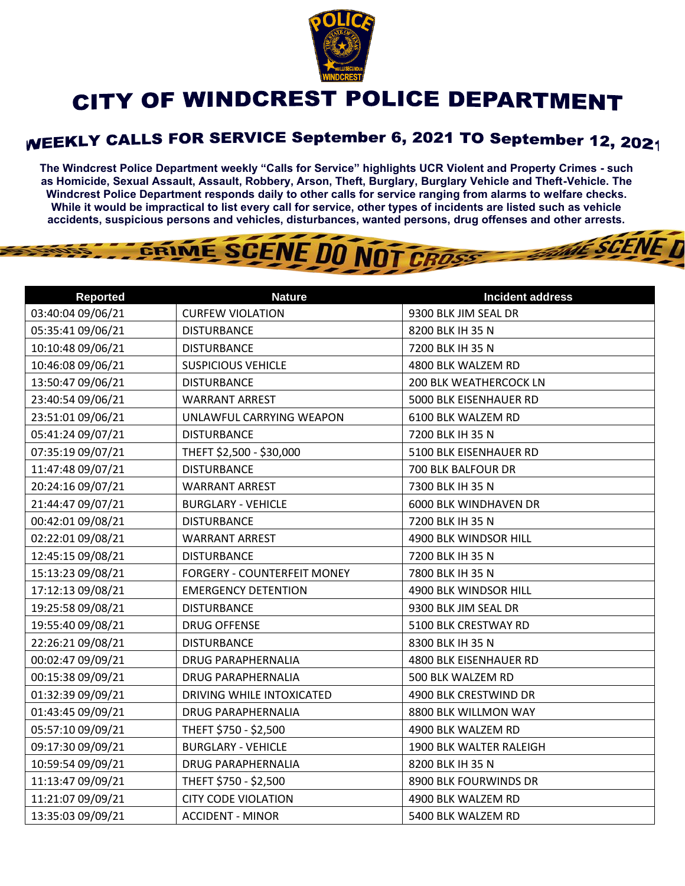

## CITY OF WINDCREST POLICE DEPARTMENT

## WEEKLY CALLS FOR SERVICE September 6, 2021 TO September 12, 2021

**The Windcrest Police Department weekly "Calls for Service" highlights UCR Violent and Property Crimes - such as Homicide, Sexual Assault, Assault, Robbery, Arson, Theft, Burglary, Burglary Vehicle and Theft-Vehicle. The Windcrest Police Department responds daily to other calls for service ranging from alarms to welfare checks. While it would be impractical to list every call for service, other types of incidents are listed such as vehicle accidents, suspicious persons and vehicles, disturbances, wanted persons, drug offenses and other arrests.** 

THE SCENE D



| <b>Reported</b>   | <b>Nature</b>               | <b>Incident address</b>      |
|-------------------|-----------------------------|------------------------------|
| 03:40:04 09/06/21 | <b>CURFEW VIOLATION</b>     | 9300 BLK JIM SEAL DR         |
| 05:35:41 09/06/21 | <b>DISTURBANCE</b>          | 8200 BLK IH 35 N             |
| 10:10:48 09/06/21 | <b>DISTURBANCE</b>          | 7200 BLK IH 35 N             |
| 10:46:08 09/06/21 | <b>SUSPICIOUS VEHICLE</b>   | 4800 BLK WALZEM RD           |
| 13:50:47 09/06/21 | <b>DISTURBANCE</b>          | 200 BLK WEATHERCOCK LN       |
| 23:40:54 09/06/21 | <b>WARRANT ARREST</b>       | 5000 BLK EISENHAUER RD       |
| 23:51:01 09/06/21 | UNLAWFUL CARRYING WEAPON    | 6100 BLK WALZEM RD           |
| 05:41:24 09/07/21 | <b>DISTURBANCE</b>          | 7200 BLK IH 35 N             |
| 07:35:19 09/07/21 | THEFT \$2,500 - \$30,000    | 5100 BLK EISENHAUER RD       |
| 11:47:48 09/07/21 | <b>DISTURBANCE</b>          | 700 BLK BALFOUR DR           |
| 20:24:16 09/07/21 | <b>WARRANT ARREST</b>       | 7300 BLK IH 35 N             |
| 21:44:47 09/07/21 | <b>BURGLARY - VEHICLE</b>   | <b>6000 BLK WINDHAVEN DR</b> |
| 00:42:01 09/08/21 | <b>DISTURBANCE</b>          | 7200 BLK IH 35 N             |
| 02:22:01 09/08/21 | <b>WARRANT ARREST</b>       | 4900 BLK WINDSOR HILL        |
| 12:45:15 09/08/21 | <b>DISTURBANCE</b>          | 7200 BLK IH 35 N             |
| 15:13:23 09/08/21 | FORGERY - COUNTERFEIT MONEY | 7800 BLK IH 35 N             |
| 17:12:13 09/08/21 | <b>EMERGENCY DETENTION</b>  | 4900 BLK WINDSOR HILL        |
| 19:25:58 09/08/21 | <b>DISTURBANCE</b>          | 9300 BLK JIM SEAL DR         |
| 19:55:40 09/08/21 | <b>DRUG OFFENSE</b>         | 5100 BLK CRESTWAY RD         |
| 22:26:21 09/08/21 | <b>DISTURBANCE</b>          | 8300 BLK IH 35 N             |
| 00:02:47 09/09/21 | <b>DRUG PARAPHERNALIA</b>   | 4800 BLK EISENHAUER RD       |
| 00:15:38 09/09/21 | <b>DRUG PARAPHERNALIA</b>   | 500 BLK WALZEM RD            |
| 01:32:39 09/09/21 | DRIVING WHILE INTOXICATED   | 4900 BLK CRESTWIND DR        |
| 01:43:45 09/09/21 | <b>DRUG PARAPHERNALIA</b>   | 8800 BLK WILLMON WAY         |
| 05:57:10 09/09/21 | THEFT \$750 - \$2,500       | 4900 BLK WALZEM RD           |
| 09:17:30 09/09/21 | <b>BURGLARY - VEHICLE</b>   | 1900 BLK WALTER RALEIGH      |
| 10:59:54 09/09/21 | <b>DRUG PARAPHERNALIA</b>   | 8200 BLK IH 35 N             |
| 11:13:47 09/09/21 | THEFT \$750 - \$2,500       | 8900 BLK FOURWINDS DR        |
| 11:21:07 09/09/21 | <b>CITY CODE VIOLATION</b>  | 4900 BLK WALZEM RD           |
| 13:35:03 09/09/21 | <b>ACCIDENT - MINOR</b>     | 5400 BLK WALZEM RD           |